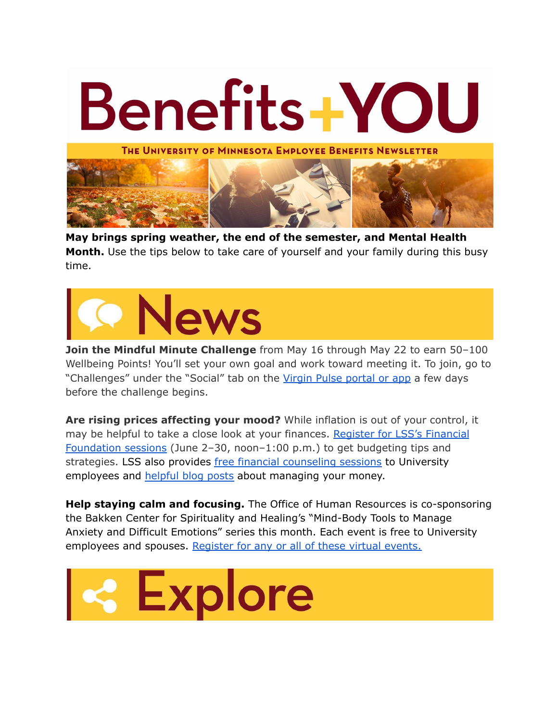

**May brings spring weather, the end of the semester, and Mental Health Month.** Use the tips below to take care of yourself and your family during this busy time.



**Join the Mindful Minute Challenge** from May 16 through May 22 to earn 50–100 Wellbeing Points! You'll set your own goal and work toward meeting it. To join, go to "Challenges" under the "Social" tab on the Virgin Pulse [portal](https://login.umn.edu/idp/profile/SAML2/Unsolicited/SSO?providerId=https://iam.stage2.virginpulse.com/auth/realms/virginpulse) or app a few days before the challenge begins.

**Are rising prices affecting your mood?** While inflation is out of your control, it may be helpful to take a close look at your finances. Register for LSS's [Financial](https://lssmn-org.zoom.us/meeting/register/tZcrf--gqD4iGdG9O9ZtzI0YseKthKvI_F7_) [Foundation](https://lssmn-org.zoom.us/meeting/register/tZcrf--gqD4iGdG9O9ZtzI0YseKthKvI_F7_) sessions (June 2–30, noon–1:00 p.m.) to get budgeting tips and strategies. LSS also provides free financial [counseling](https://humanresources.umn.edu/benefits/financial-counseling) sessions to University employees and [helpful](https://www.lssmn.org/financialcounseling/blog) blog posts about managing your money.

**Help staying calm and focusing.** The Office of Human Resources is co-sponsoring the Bakken Center for Spirituality and Healing's "Mind-Body Tools to Manage Anxiety and Difficult Emotions" series this month. Each event is free to University employees and spouses. [Register](https://www.csh.umn.edu/community/mind-body-tools-manage-anxiety-and-difficult-emotions) for any or all of these virtual events.